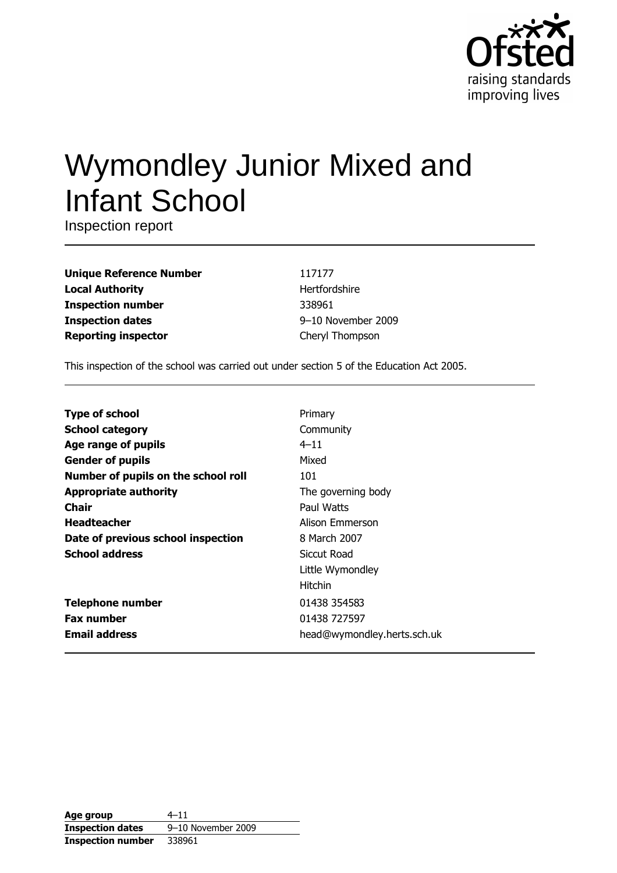

# Wymondley Junior Mixed and **Infant School**

Inspection report

| <b>Unique Reference Number</b> |
|--------------------------------|
| <b>Local Authority</b>         |
| <b>Inspection number</b>       |
| <b>Inspection dates</b>        |
| <b>Reporting inspector</b>     |

117177 Hertfordshire 338961 9-10 November 2009 Cheryl Thompson

This inspection of the school was carried out under section 5 of the Education Act 2005.

| <b>Type of school</b>               | Primary                     |
|-------------------------------------|-----------------------------|
| <b>School category</b>              | Community                   |
| Age range of pupils                 | $4 - 11$                    |
| <b>Gender of pupils</b>             | Mixed                       |
| Number of pupils on the school roll | 101                         |
| <b>Appropriate authority</b>        | The governing body          |
| Chair                               | Paul Watts                  |
| <b>Headteacher</b>                  | Alison Emmerson             |
| Date of previous school inspection  | 8 March 2007                |
| <b>School address</b>               | Siccut Road                 |
|                                     | Little Wymondley            |
|                                     | <b>Hitchin</b>              |
| <b>Telephone number</b>             | 01438 354583                |
| <b>Fax number</b>                   | 01438 727597                |
| <b>Email address</b>                | head@wymondley.herts.sch.uk |

| Age group                | $4 - 11$           |
|--------------------------|--------------------|
| <b>Inspection dates</b>  | 9-10 November 2009 |
| <b>Inspection number</b> | 338961             |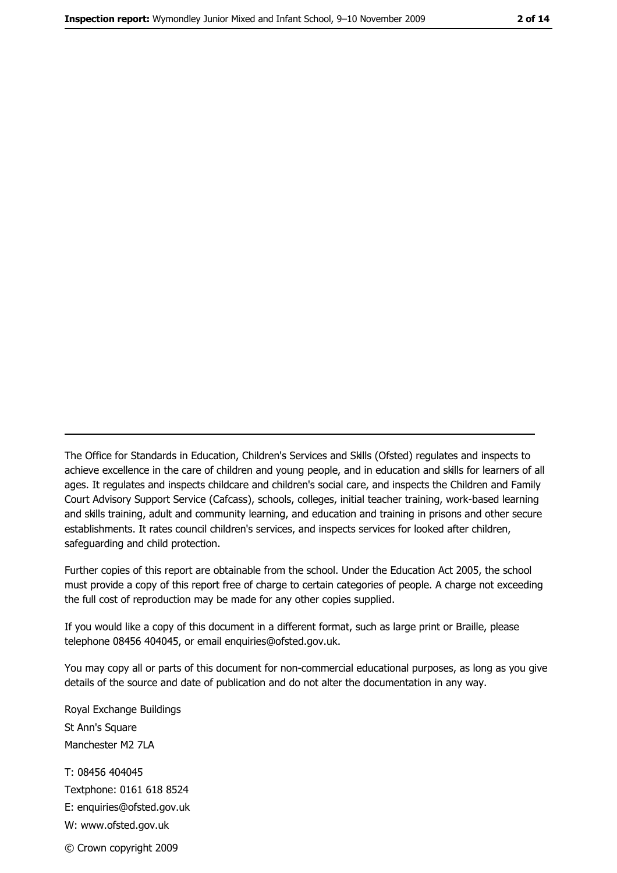The Office for Standards in Education, Children's Services and Skills (Ofsted) regulates and inspects to achieve excellence in the care of children and young people, and in education and skills for learners of all ages. It regulates and inspects childcare and children's social care, and inspects the Children and Family Court Advisory Support Service (Cafcass), schools, colleges, initial teacher training, work-based learning and skills training, adult and community learning, and education and training in prisons and other secure establishments. It rates council children's services, and inspects services for looked after children, safequarding and child protection.

Further copies of this report are obtainable from the school. Under the Education Act 2005, the school must provide a copy of this report free of charge to certain categories of people. A charge not exceeding the full cost of reproduction may be made for any other copies supplied.

If you would like a copy of this document in a different format, such as large print or Braille, please telephone 08456 404045, or email enquiries@ofsted.gov.uk.

You may copy all or parts of this document for non-commercial educational purposes, as long as you give details of the source and date of publication and do not alter the documentation in any way.

Royal Exchange Buildings St Ann's Square Manchester M2 7LA T: 08456 404045 Textphone: 0161 618 8524 E: enquiries@ofsted.gov.uk W: www.ofsted.gov.uk © Crown copyright 2009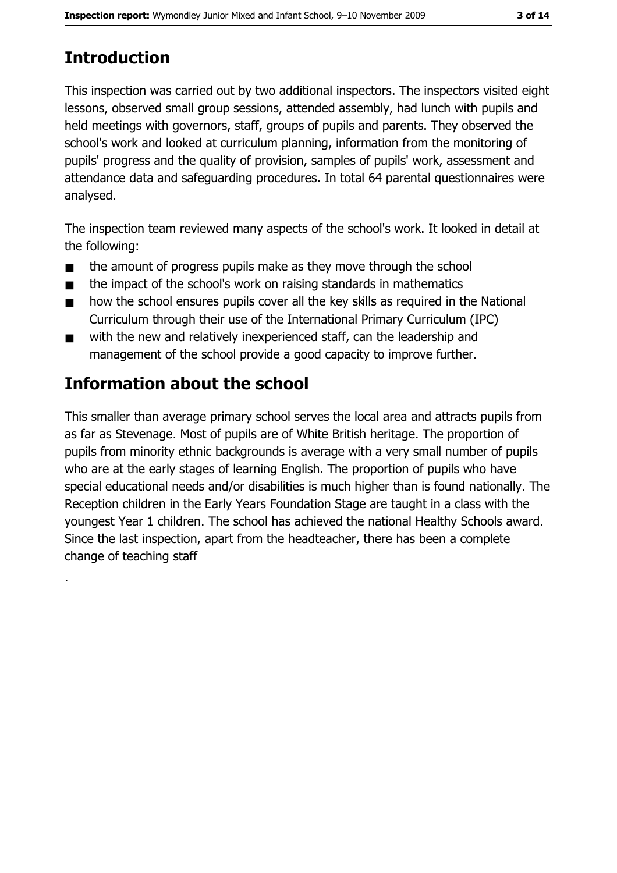# **Introduction**

This inspection was carried out by two additional inspectors. The inspectors visited eight lessons, observed small group sessions, attended assembly, had lunch with pupils and held meetings with governors, staff, groups of pupils and parents. They observed the school's work and looked at curriculum planning, information from the monitoring of pupils' progress and the quality of provision, samples of pupils' work, assessment and attendance data and safeguarding procedures. In total 64 parental questionnaires were analysed.

The inspection team reviewed many aspects of the school's work. It looked in detail at the following:

- the amount of progress pupils make as they move through the school  $\blacksquare$
- the impact of the school's work on raising standards in mathematics  $\blacksquare$
- how the school ensures pupils cover all the key skills as required in the National  $\blacksquare$ Curriculum through their use of the International Primary Curriculum (IPC)
- with the new and relatively inexperienced staff, can the leadership and  $\blacksquare$ management of the school provide a good capacity to improve further.

# Information about the school

This smaller than average primary school serves the local area and attracts pupils from as far as Stevenage. Most of pupils are of White British heritage. The proportion of pupils from minority ethnic backgrounds is average with a very small number of pupils who are at the early stages of learning English. The proportion of pupils who have special educational needs and/or disabilities is much higher than is found nationally. The Reception children in the Early Years Foundation Stage are taught in a class with the youngest Year 1 children. The school has achieved the national Healthy Schools award. Since the last inspection, apart from the headteacher, there has been a complete change of teaching staff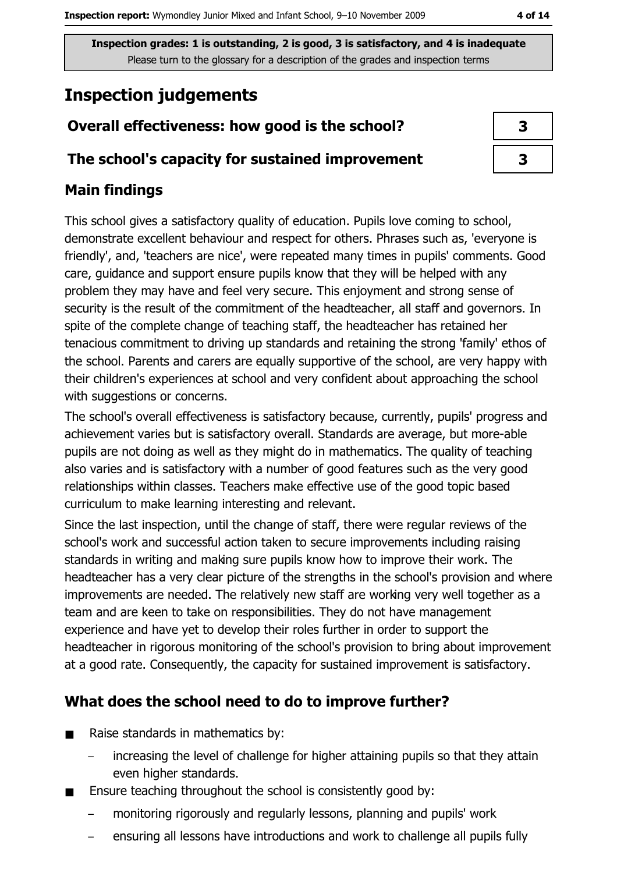# **Inspection judgements**

# Overall effectiveness: how good is the school?

## The school's capacity for sustained improvement

## **Main findings**

This school gives a satisfactory quality of education. Pupils love coming to school, demonstrate excellent behaviour and respect for others. Phrases such as, 'everyone is friendly', and, 'teachers are nice', were repeated many times in pupils' comments. Good care, guidance and support ensure pupils know that they will be helped with any problem they may have and feel very secure. This enjoyment and strong sense of security is the result of the commitment of the headteacher, all staff and governors. In spite of the complete change of teaching staff, the headteacher has retained her tenacious commitment to driving up standards and retaining the strong 'family' ethos of the school. Parents and carers are equally supportive of the school, are very happy with their children's experiences at school and very confident about approaching the school with suggestions or concerns.

The school's overall effectiveness is satisfactory because, currently, pupils' progress and achievement varies but is satisfactory overall. Standards are average, but more-able pupils are not doing as well as they might do in mathematics. The quality of teaching also varies and is satisfactory with a number of good features such as the very good relationships within classes. Teachers make effective use of the good topic based curriculum to make learning interesting and relevant.

Since the last inspection, until the change of staff, there were regular reviews of the school's work and successful action taken to secure improvements including raising standards in writing and making sure pupils know how to improve their work. The headteacher has a very clear picture of the strengths in the school's provision and where improvements are needed. The relatively new staff are working very well together as a team and are keen to take on responsibilities. They do not have management experience and have yet to develop their roles further in order to support the headteacher in rigorous monitoring of the school's provision to bring about improvement at a good rate. Consequently, the capacity for sustained improvement is satisfactory.

# What does the school need to do to improve further?

- Raise standards in mathematics by:  $\blacksquare$ 
	- increasing the level of challenge for higher attaining pupils so that they attain even higher standards.
- Ensure teaching throughout the school is consistently good by:  $\blacksquare$ 
	- monitoring rigorously and regularly lessons, planning and pupils' work
	- ensuring all lessons have introductions and work to challenge all pupils fully

| 3 |  |
|---|--|
| 3 |  |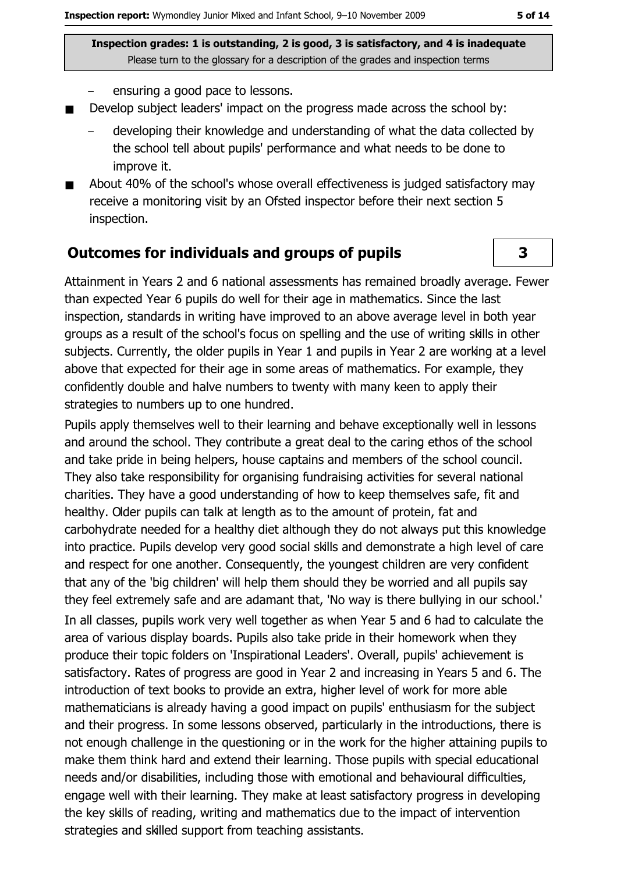- ensuring a good pace to lessons.
- Develop subject leaders' impact on the progress made across the school by:  $\blacksquare$ 
	- developing their knowledge and understanding of what the data collected by the school tell about pupils' performance and what needs to be done to improve it.
- About 40% of the school's whose overall effectiveness is judged satisfactory may  $\blacksquare$ receive a monitoring visit by an Ofsted inspector before their next section 5 inspection.

#### **Outcomes for individuals and groups of pupils**

Attainment in Years 2 and 6 national assessments has remained broadly average. Fewer than expected Year 6 pupils do well for their age in mathematics. Since the last inspection, standards in writing have improved to an above average level in both year groups as a result of the school's focus on spelling and the use of writing skills in other subjects. Currently, the older pupils in Year 1 and pupils in Year 2 are working at a level above that expected for their age in some areas of mathematics. For example, they confidently double and halve numbers to twenty with many keen to apply their strategies to numbers up to one hundred.

Pupils apply themselves well to their learning and behave exceptionally well in lessons and around the school. They contribute a great deal to the caring ethos of the school and take pride in being helpers, house captains and members of the school council. They also take responsibility for organising fundraising activities for several national charities. They have a good understanding of how to keep themselves safe, fit and healthy. Older pupils can talk at length as to the amount of protein, fat and carbohydrate needed for a healthy diet although they do not always put this knowledge into practice. Pupils develop very good social skills and demonstrate a high level of care and respect for one another. Consequently, the youngest children are very confident that any of the 'big children' will help them should they be worried and all pupils say they feel extremely safe and are adamant that, 'No way is there bullying in our school.'

In all classes, pupils work very well together as when Year 5 and 6 had to calculate the area of various display boards. Pupils also take pride in their homework when they produce their topic folders on 'Inspirational Leaders'. Overall, pupils' achievement is satisfactory. Rates of progress are good in Year 2 and increasing in Years 5 and 6. The introduction of text books to provide an extra, higher level of work for more able mathematicians is already having a good impact on pupils' enthusiasm for the subject and their progress. In some lessons observed, particularly in the introductions, there is not enough challenge in the questioning or in the work for the higher attaining pupils to make them think hard and extend their learning. Those pupils with special educational needs and/or disabilities, including those with emotional and behavioural difficulties, engage well with their learning. They make at least satisfactory progress in developing the key skills of reading, writing and mathematics due to the impact of intervention strategies and skilled support from teaching assistants.

3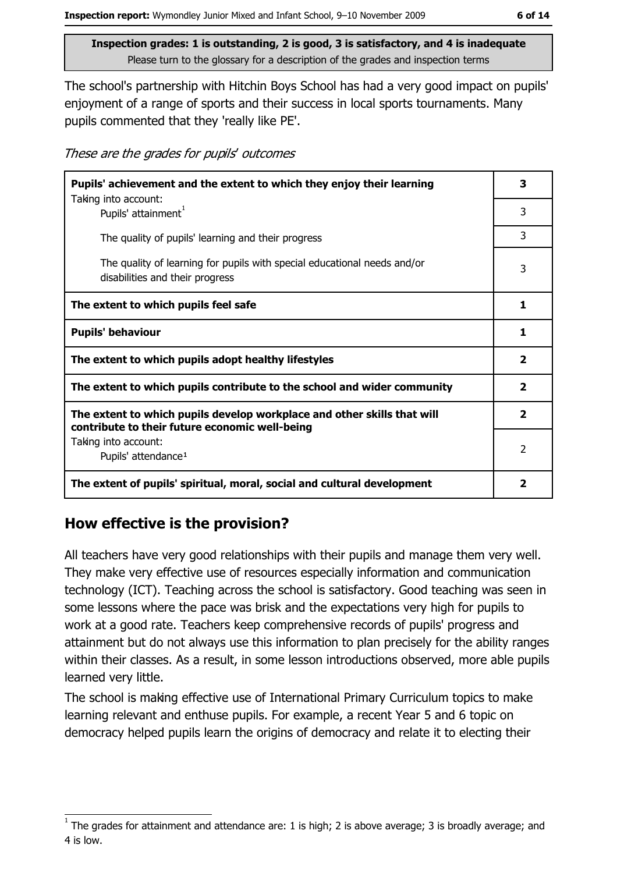The school's partnership with Hitchin Boys School has had a very good impact on pupils' enjoyment of a range of sports and their success in local sports tournaments. Many pupils commented that they 'really like PE'.

These are the grades for pupils' outcomes

| Pupils' achievement and the extent to which they enjoy their learning                                                     |              |  |
|---------------------------------------------------------------------------------------------------------------------------|--------------|--|
| Taking into account:<br>Pupils' attainment <sup>1</sup>                                                                   | 3            |  |
| The quality of pupils' learning and their progress                                                                        | 3            |  |
| The quality of learning for pupils with special educational needs and/or<br>disabilities and their progress               | 3            |  |
| The extent to which pupils feel safe                                                                                      | 1            |  |
| <b>Pupils' behaviour</b>                                                                                                  | 1            |  |
| The extent to which pupils adopt healthy lifestyles                                                                       | $\mathbf{2}$ |  |
| The extent to which pupils contribute to the school and wider community                                                   |              |  |
| The extent to which pupils develop workplace and other skills that will<br>contribute to their future economic well-being |              |  |
| Taking into account:<br>Pupils' attendance <sup>1</sup>                                                                   | 2            |  |
| The extent of pupils' spiritual, moral, social and cultural development                                                   | 2            |  |

## How effective is the provision?

All teachers have very good relationships with their pupils and manage them very well. They make very effective use of resources especially information and communication technology (ICT). Teaching across the school is satisfactory. Good teaching was seen in some lessons where the pace was brisk and the expectations very high for pupils to work at a good rate. Teachers keep comprehensive records of pupils' progress and attainment but do not always use this information to plan precisely for the ability ranges within their classes. As a result, in some lesson introductions observed, more able pupils learned very little.

The school is making effective use of International Primary Curriculum topics to make learning relevant and enthuse pupils. For example, a recent Year 5 and 6 topic on democracy helped pupils learn the origins of democracy and relate it to electing their

The grades for attainment and attendance are: 1 is high; 2 is above average; 3 is broadly average; and 4 is low.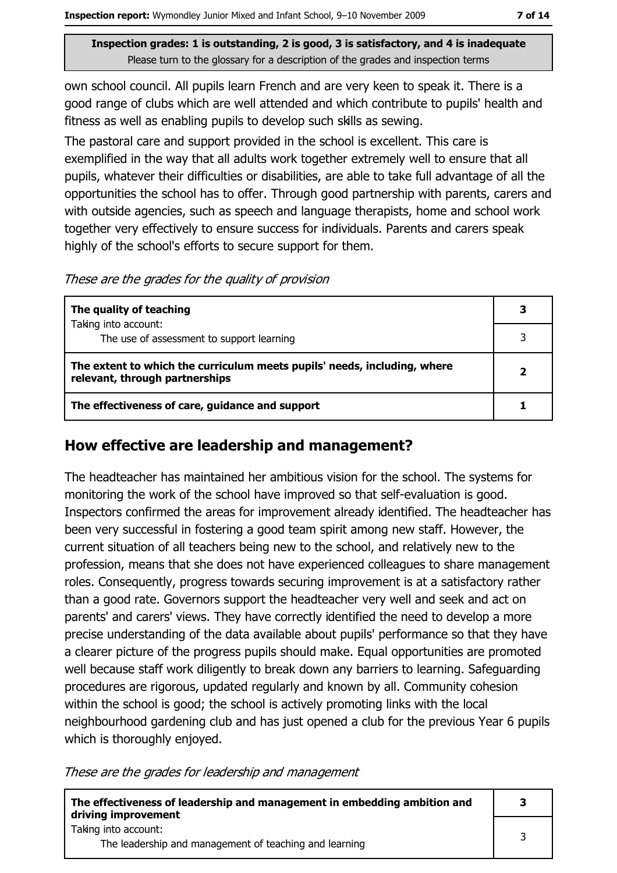own school council. All pupils learn French and are very keen to speak it. There is a good range of clubs which are well attended and which contribute to pupils' health and fitness as well as enabling pupils to develop such skills as sewing.

The pastoral care and support provided in the school is excellent. This care is exemplified in the way that all adults work together extremely well to ensure that all pupils, whatever their difficulties or disabilities, are able to take full advantage of all the opportunities the school has to offer. Through good partnership with parents, carers and with outside agencies, such as speech and language therapists, home and school work together very effectively to ensure success for individuals. Parents and carers speak highly of the school's efforts to secure support for them.

These are the grades for the quality of provision

| The quality of teaching                                                                                    | 3 |
|------------------------------------------------------------------------------------------------------------|---|
| Taking into account:                                                                                       |   |
| The use of assessment to support learning                                                                  |   |
| The extent to which the curriculum meets pupils' needs, including, where<br>relevant, through partnerships |   |
| The effectiveness of care, guidance and support                                                            |   |

#### How effective are leadership and management?

The headteacher has maintained her ambitious vision for the school. The systems for monitoring the work of the school have improved so that self-evaluation is good. Inspectors confirmed the areas for improvement already identified. The headteacher has been very successful in fostering a good team spirit among new staff. However, the current situation of all teachers being new to the school, and relatively new to the profession, means that she does not have experienced colleagues to share management roles. Consequently, progress towards securing improvement is at a satisfactory rather than a good rate. Governors support the headteacher very well and seek and act on parents' and carers' views. They have correctly identified the need to develop a more precise understanding of the data available about pupils' performance so that they have a clearer picture of the progress pupils should make. Equal opportunities are promoted well because staff work diligently to break down any barriers to learning. Safeguarding procedures are rigorous, updated regularly and known by all. Community cohesion within the school is good; the school is actively promoting links with the local neighbourhood gardening club and has just opened a club for the previous Year 6 pupils which is thoroughly enjoyed.

These are the grades for leadership and management

| The effectiveness of leadership and management in embedding ambition and<br>driving improvement |  |
|-------------------------------------------------------------------------------------------------|--|
| Taking into account:<br>The leadership and management of teaching and learning                  |  |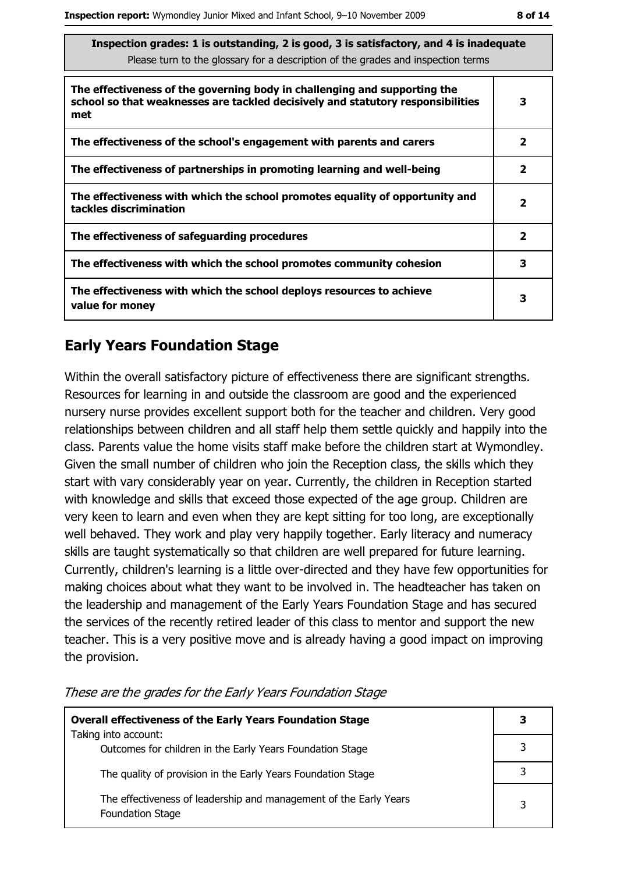| Inspection grades: 1 is outstanding, 2 is good, 3 is satisfactory, and 4 is inadequate<br>Please turn to the glossary for a description of the grades and inspection terms |              |  |  |
|----------------------------------------------------------------------------------------------------------------------------------------------------------------------------|--------------|--|--|
| The effectiveness of the governing body in challenging and supporting the<br>school so that weaknesses are tackled decisively and statutory responsibilities<br>met        | 3            |  |  |
| The effectiveness of the school's engagement with parents and carers                                                                                                       | 2            |  |  |
| The effectiveness of partnerships in promoting learning and well-being                                                                                                     | $\mathbf{2}$ |  |  |
| The effectiveness with which the school promotes equality of opportunity and<br>tackles discrimination                                                                     | $\mathbf{2}$ |  |  |
| The effectiveness of safeguarding procedures                                                                                                                               | $\mathbf{2}$ |  |  |
| The effectiveness with which the school promotes community cohesion                                                                                                        | 3            |  |  |
| The effectiveness with which the school deploys resources to achieve<br>value for money                                                                                    | 3            |  |  |

## **Early Years Foundation Stage**

Within the overall satisfactory picture of effectiveness there are significant strengths. Resources for learning in and outside the classroom are good and the experienced nursery nurse provides excellent support both for the teacher and children. Very good relationships between children and all staff help them settle quickly and happily into the class. Parents value the home visits staff make before the children start at Wymondley. Given the small number of children who join the Reception class, the skills which they start with vary considerably year on year. Currently, the children in Reception started with knowledge and skills that exceed those expected of the age group. Children are very keen to learn and even when they are kept sitting for too long, are exceptionally well behaved. They work and play very happily together. Early literacy and numeracy skills are taught systematically so that children are well prepared for future learning. Currently, children's learning is a little over-directed and they have few opportunities for making choices about what they want to be involved in. The headteacher has taken on the leadership and management of the Early Years Foundation Stage and has secured the services of the recently retired leader of this class to mentor and support the new teacher. This is a very positive move and is already having a good impact on improving the provision.

| <b>Overall effectiveness of the Early Years Foundation Stage</b>                             |  |
|----------------------------------------------------------------------------------------------|--|
| Taking into account:<br>Outcomes for children in the Early Years Foundation Stage            |  |
| The quality of provision in the Early Years Foundation Stage                                 |  |
| The effectiveness of leadership and management of the Early Years<br><b>Foundation Stage</b> |  |

These are the grades for the Early Years Foundation Stage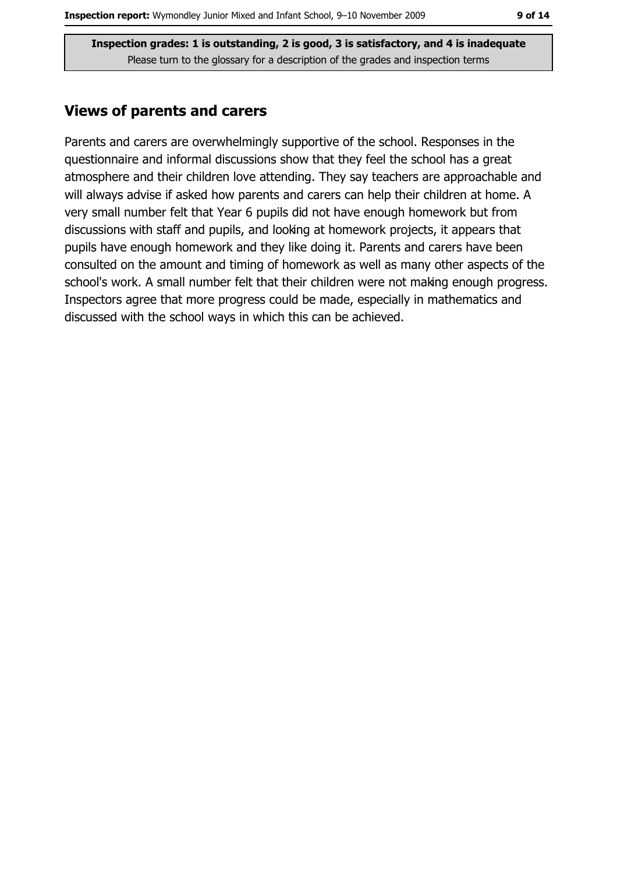#### **Views of parents and carers**

Parents and carers are overwhelmingly supportive of the school. Responses in the questionnaire and informal discussions show that they feel the school has a great atmosphere and their children love attending. They say teachers are approachable and will always advise if asked how parents and carers can help their children at home. A very small number felt that Year 6 pupils did not have enough homework but from discussions with staff and pupils, and looking at homework projects, it appears that pupils have enough homework and they like doing it. Parents and carers have been consulted on the amount and timing of homework as well as many other aspects of the school's work. A small number felt that their children were not making enough progress. Inspectors agree that more progress could be made, especially in mathematics and discussed with the school ways in which this can be achieved.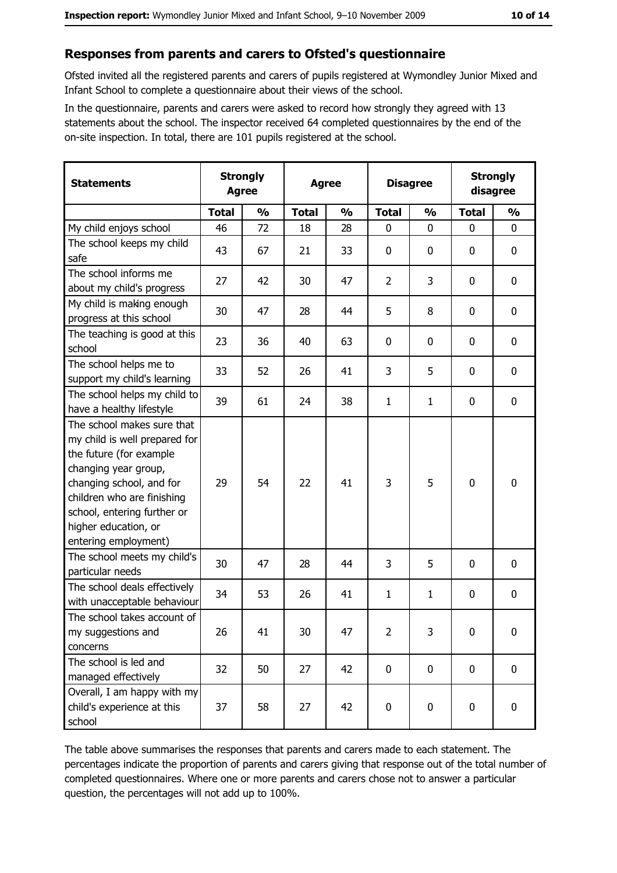#### Responses from parents and carers to Ofsted's questionnaire

Ofsted invited all the registered parents and carers of pupils registered at Wymondley Junior Mixed and Infant School to complete a questionnaire about their views of the school.

In the questionnaire, parents and carers were asked to record how strongly they agreed with 13 statements about the school. The inspector received 64 completed questionnaires by the end of the on-site inspection. In total, there are 101 pupils registered at the school.

| <b>Statements</b>                                                                                                                                                                                                                                       | <b>Strongly</b><br><b>Agree</b> |               | <b>Agree</b> |               |                | <b>Disagree</b> |              | <b>Strongly</b><br>disagree |
|---------------------------------------------------------------------------------------------------------------------------------------------------------------------------------------------------------------------------------------------------------|---------------------------------|---------------|--------------|---------------|----------------|-----------------|--------------|-----------------------------|
|                                                                                                                                                                                                                                                         | <b>Total</b>                    | $\frac{0}{0}$ | <b>Total</b> | $\frac{0}{0}$ | <b>Total</b>   | $\frac{0}{0}$   | <b>Total</b> | $\frac{0}{0}$               |
| My child enjoys school                                                                                                                                                                                                                                  | 46                              | 72            | 18           | 28            | $\mathbf 0$    | 0               | $\mathbf 0$  | $\mathbf 0$                 |
| The school keeps my child<br>safe                                                                                                                                                                                                                       | 43                              | 67            | 21           | 33            | $\mathbf 0$    | 0               | 0            | 0                           |
| The school informs me<br>about my child's progress                                                                                                                                                                                                      | 27                              | 42            | 30           | 47            | $\overline{2}$ | 3               | 0            | $\mathbf 0$                 |
| My child is making enough<br>progress at this school                                                                                                                                                                                                    | 30                              | 47            | 28           | 44            | 5              | 8               | 0            | 0                           |
| The teaching is good at this<br>school                                                                                                                                                                                                                  | 23                              | 36            | 40           | 63            | 0              | 0               | 0            | 0                           |
| The school helps me to<br>support my child's learning                                                                                                                                                                                                   | 33                              | 52            | 26           | 41            | 3              | 5               | 0            | $\mathbf 0$                 |
| The school helps my child to<br>have a healthy lifestyle                                                                                                                                                                                                | 39                              | 61            | 24           | 38            | $\mathbf{1}$   | 1               | 0            | 0                           |
| The school makes sure that<br>my child is well prepared for<br>the future (for example<br>changing year group,<br>changing school, and for<br>children who are finishing<br>school, entering further or<br>higher education, or<br>entering employment) | 29                              | 54            | 22           | 41            | 3              | 5               | 0            | $\mathbf 0$                 |
| The school meets my child's<br>particular needs                                                                                                                                                                                                         | 30                              | 47            | 28           | 44            | 3              | 5               | 0            | $\mathbf 0$                 |
| The school deals effectively<br>with unacceptable behaviour                                                                                                                                                                                             | 34                              | 53            | 26           | 41            | $\mathbf{1}$   | $\mathbf{1}$    | 0            | 0                           |
| The school takes account of<br>my suggestions and<br>concerns                                                                                                                                                                                           | 26                              | 41            | 30           | 47            | $\overline{2}$ | 3               | $\mathbf 0$  | $\mathbf 0$                 |
| The school is led and<br>managed effectively                                                                                                                                                                                                            | 32                              | 50            | 27           | 42            | $\mathbf 0$    | $\mathbf 0$     | $\mathbf 0$  | $\mathbf 0$                 |
| Overall, I am happy with my<br>child's experience at this<br>school                                                                                                                                                                                     | 37                              | 58            | 27           | 42            | 0              | 0               | 0            | 0                           |

The table above summarises the responses that parents and carers made to each statement. The percentages indicate the proportion of parents and carers giving that response out of the total number of completed questionnaires. Where one or more parents and carers chose not to answer a particular question, the percentages will not add up to 100%.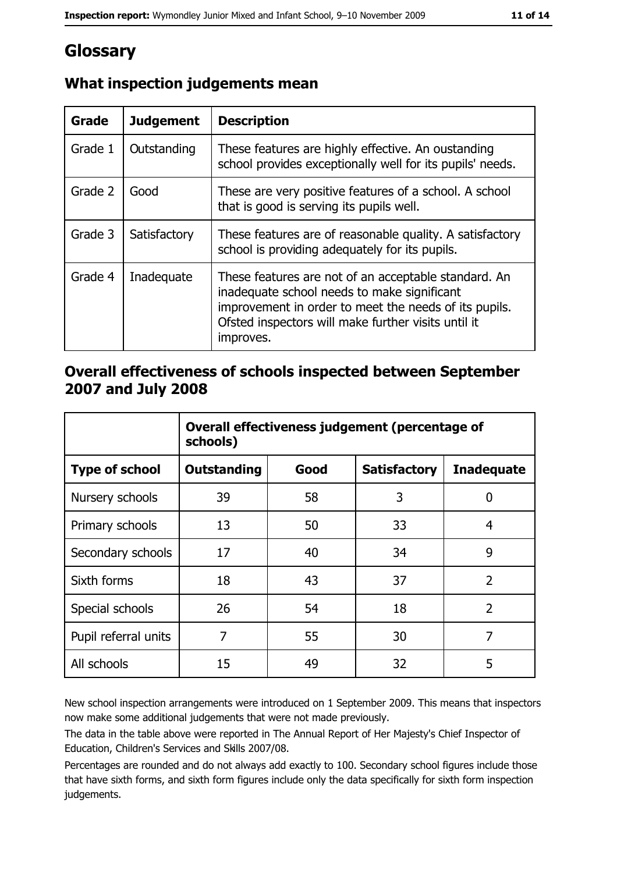# Glossary

| <b>Grade</b> | <b>Judgement</b> | <b>Description</b>                                                                                                                                                                                                               |
|--------------|------------------|----------------------------------------------------------------------------------------------------------------------------------------------------------------------------------------------------------------------------------|
| Grade 1      | Outstanding      | These features are highly effective. An oustanding<br>school provides exceptionally well for its pupils' needs.                                                                                                                  |
| Grade 2      | Good             | These are very positive features of a school. A school<br>that is good is serving its pupils well.                                                                                                                               |
| Grade 3      | Satisfactory     | These features are of reasonable quality. A satisfactory<br>school is providing adequately for its pupils.                                                                                                                       |
| Grade 4      | Inadequate       | These features are not of an acceptable standard. An<br>inadequate school needs to make significant<br>improvement in order to meet the needs of its pupils.<br>Ofsted inspectors will make further visits until it<br>improves. |

# What inspection judgements mean

### Overall effectiveness of schools inspected between September 2007 and July 2008

|                       | Overall effectiveness judgement (percentage of<br>schools) |      |                     |                   |  |
|-----------------------|------------------------------------------------------------|------|---------------------|-------------------|--|
| <b>Type of school</b> | Outstanding                                                | Good | <b>Satisfactory</b> | <b>Inadequate</b> |  |
| Nursery schools       | 39                                                         | 58   | 3                   | 0                 |  |
| Primary schools       | 13                                                         | 50   | 33                  | 4                 |  |
| Secondary schools     | 17                                                         | 40   | 34                  | 9                 |  |
| Sixth forms           | 18                                                         | 43   | 37                  | $\overline{2}$    |  |
| Special schools       | 26                                                         | 54   | 18                  | $\overline{2}$    |  |
| Pupil referral units  | 7                                                          | 55   | 30                  | 7                 |  |
| All schools           | 15                                                         | 49   | 32                  | 5                 |  |

New school inspection arrangements were introduced on 1 September 2009. This means that inspectors now make some additional judgements that were not made previously.

The data in the table above were reported in The Annual Report of Her Majesty's Chief Inspector of Education, Children's Services and Skills 2007/08.

Percentages are rounded and do not always add exactly to 100. Secondary school figures include those that have sixth forms, and sixth form figures include only the data specifically for sixth form inspection judgements.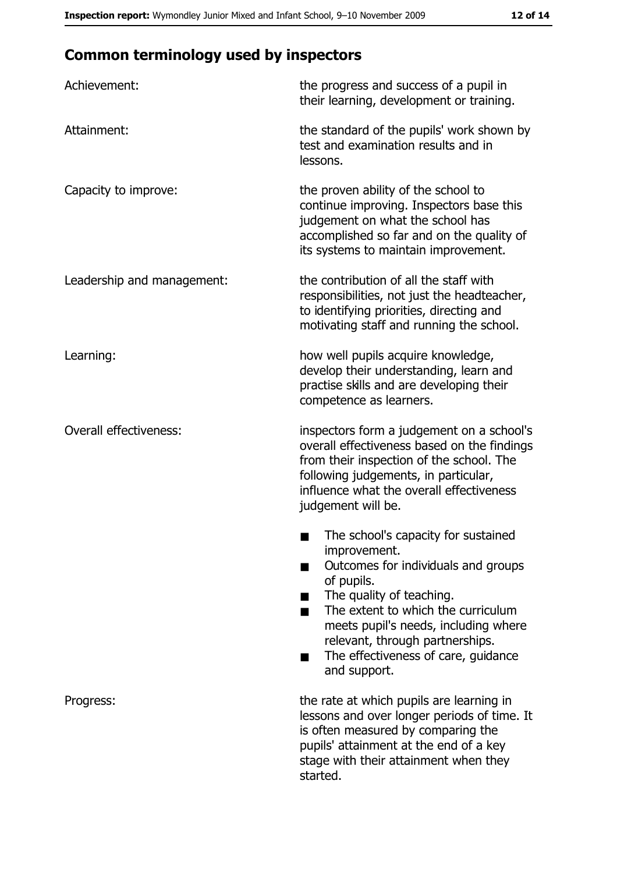# **Common terminology used by inspectors**

| Achievement:                  | the progress and success of a pupil in<br>their learning, development or training.                                                                                                                                                                                                                           |
|-------------------------------|--------------------------------------------------------------------------------------------------------------------------------------------------------------------------------------------------------------------------------------------------------------------------------------------------------------|
| Attainment:                   | the standard of the pupils' work shown by<br>test and examination results and in<br>lessons.                                                                                                                                                                                                                 |
| Capacity to improve:          | the proven ability of the school to<br>continue improving. Inspectors base this<br>judgement on what the school has<br>accomplished so far and on the quality of<br>its systems to maintain improvement.                                                                                                     |
| Leadership and management:    | the contribution of all the staff with<br>responsibilities, not just the headteacher,<br>to identifying priorities, directing and<br>motivating staff and running the school.                                                                                                                                |
| Learning:                     | how well pupils acquire knowledge,<br>develop their understanding, learn and<br>practise skills and are developing their<br>competence as learners.                                                                                                                                                          |
| <b>Overall effectiveness:</b> | inspectors form a judgement on a school's<br>overall effectiveness based on the findings<br>from their inspection of the school. The<br>following judgements, in particular,<br>influence what the overall effectiveness<br>judgement will be.                                                               |
|                               | The school's capacity for sustained<br>improvement.<br>Outcomes for individuals and groups<br>of pupils.<br>The quality of teaching.<br>The extent to which the curriculum<br>meets pupil's needs, including where<br>relevant, through partnerships.<br>The effectiveness of care, guidance<br>and support. |
| Progress:                     | the rate at which pupils are learning in<br>lessons and over longer periods of time. It<br>is often measured by comparing the<br>pupils' attainment at the end of a key<br>stage with their attainment when they<br>started.                                                                                 |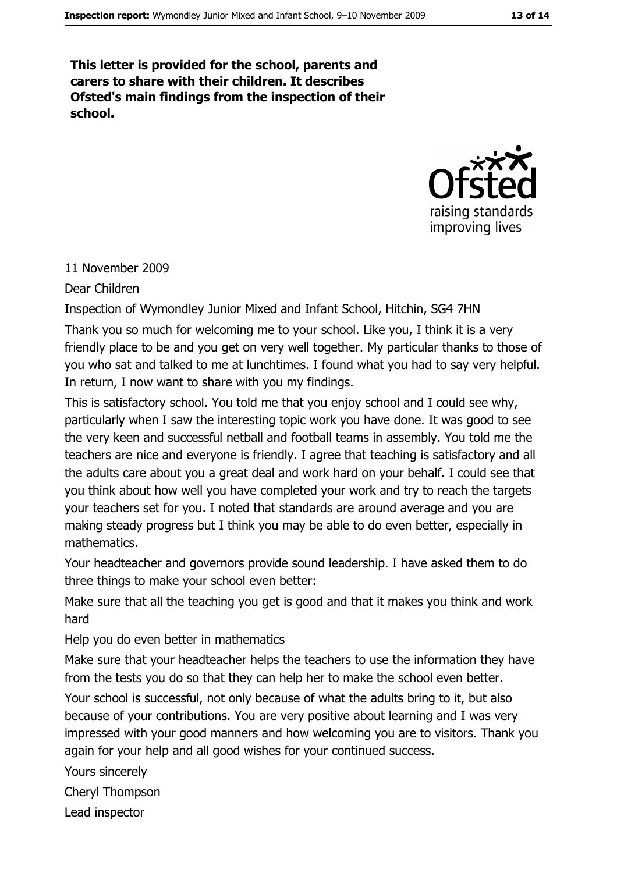This letter is provided for the school, parents and carers to share with their children. It describes Ofsted's main findings from the inspection of their school.



#### 11 November 2009

Dear Children

Inspection of Wymondley Junior Mixed and Infant School, Hitchin, SG4 7HN

Thank you so much for welcoming me to your school. Like you, I think it is a very friendly place to be and you get on very well together. My particular thanks to those of you who sat and talked to me at lunchtimes. I found what you had to say very helpful. In return, I now want to share with you my findings.

This is satisfactory school. You told me that you enjoy school and I could see why, particularly when I saw the interesting topic work you have done. It was good to see the very keen and successful netball and football teams in assembly. You told me the teachers are nice and everyone is friendly. I agree that teaching is satisfactory and all the adults care about you a great deal and work hard on your behalf. I could see that you think about how well you have completed your work and try to reach the targets your teachers set for you. I noted that standards are around average and you are making steady progress but I think you may be able to do even better, especially in mathematics.

Your headteacher and governors provide sound leadership. I have asked them to do three things to make your school even better:

Make sure that all the teaching you get is good and that it makes you think and work hard

Help you do even better in mathematics

Make sure that your headteacher helps the teachers to use the information they have from the tests you do so that they can help her to make the school even better.

Your school is successful, not only because of what the adults bring to it, but also because of your contributions. You are very positive about learning and I was very impressed with your good manners and how welcoming you are to visitors. Thank you again for your help and all good wishes for your continued success.

Yours sincerely **Chervl Thompson** Lead inspector